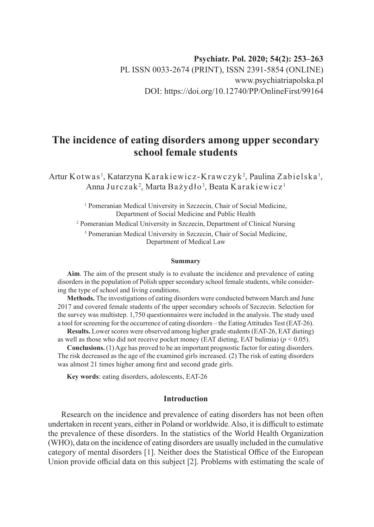# **Psychiatr. Pol. 2020; 54(2): 253–263** PL ISSN 0033-2674 (PRINT), ISSN 2391-5854 (ONLINE) www.psychiatriapolska.pl DOI: https://doi.org/10.12740/PP/OnlineFirst/99164

# **The incidence of eating disorders among upper secondary school female students**

Artur Kotwas<sup>1</sup>, Katarzyna Karakiewicz-Krawczyk<sup>2</sup>, Paulina Zabielska<sup>1</sup>, Anna Jurczak<sup>2</sup>, Marta Bażydło<sup>3</sup>, Beata Karakiewicz<sup>1</sup>

> <sup>1</sup> Pomeranian Medical University in Szczecin, Chair of Social Medicine, Department of Social Medicine and Public Health

2 Pomeranian Medical University in Szczecin, Department of Clinical Nursing 3 Pomeranian Medical University in Szczecin, Chair of Social Medicine, Department of Medical Law

#### **Summary**

**Aim**. The aim of the present study is to evaluate the incidence and prevalence of eating disorders in the population of Polish upper secondary school female students, while considering the type of school and living conditions.

**Methods.** The investigations of eating disorders were conducted between March and June 2017 and covered female students of the upper secondary schools of Szczecin. Selection for the survey was multistep. 1,750 questionnaires were included in the analysis. The study used a tool for screening for the occurrence of eating disorders – the Eating Attitudes Test (EAT-26).

**Results.** Lower scores were observed among higher grade students (EAT-26, EAT dieting) as well as those who did not receive pocket money (EAT dieting, EAT bulimia)  $(p < 0.05)$ .

**Conclusions.** (1) Age has proved to be an important prognostic factor for eating disorders. The risk decreased as the age of the examined girls increased. (2) The risk of eating disorders was almost 21 times higher among first and second grade girls.

**Key words**: eating disorders, adolescents, EAT-26

## **Introduction**

Research on the incidence and prevalence of eating disorders has not been often undertaken in recent years, either in Poland or worldwide. Also, it is difficult to estimate the prevalence of these disorders. In the statistics of the World Health Organization (WHO), data on the incidence of eating disorders are usually included in the cumulative category of mental disorders [1]. Neither does the Statistical Office of the European Union provide official data on this subject [2]. Problems with estimating the scale of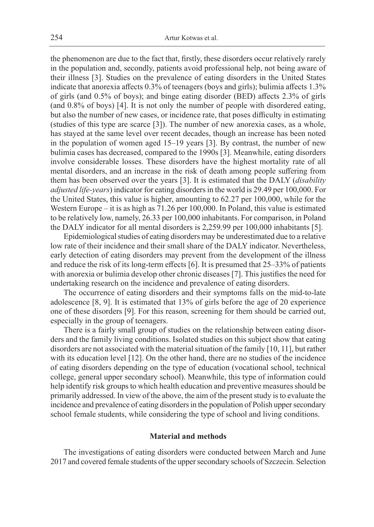the phenomenon are due to the fact that, firstly, these disorders occur relatively rarely in the population and, secondly, patients avoid professional help, not being aware of their illness [3]. Studies on the prevalence of eating disorders in the United States indicate that anorexia affects 0.3% of teenagers (boys and girls); bulimia affects 1.3% of girls (and 0.5% of boys); and binge eating disorder (BED) affects 2.3% of girls (and 0.8% of boys) [4]. It is not only the number of people with disordered eating, but also the number of new cases, or incidence rate, that poses difficulty in estimating (studies of this type are scarce [3]). The number of new anorexia cases, as a whole, has stayed at the same level over recent decades, though an increase has been noted in the population of women aged 15–19 years [3]. By contrast, the number of new bulimia cases has decreased, compared to the 1990s [3]. Meanwhile, eating disorders involve considerable losses. These disorders have the highest mortality rate of all mental disorders, and an increase in the risk of death among people suffering from them has been observed over the years [3]. It is estimated that the DALY (*disability adjusted life-years*) indicator for eating disorders in the world is 29.49 per 100,000. For the United States, this value is higher, amounting to 62.27 per 100,000, while for the Western Europe – it is as high as 71.26 per 100,000. In Poland, this value is estimated to be relatively low, namely, 26.33 per 100,000 inhabitants. For comparison, in Poland the DALY indicator for all mental disorders is 2,259.99 per 100,000 inhabitants [5].

Epidemiological studies of eating disorders may be underestimated due to a relative low rate of their incidence and their small share of the DALY indicator. Nevertheless, early detection of eating disorders may prevent from the development of the illness and reduce the risk of its long-term effects [6]. It is presumed that 25–33% of patients with anorexia or bulimia develop other chronic diseases [7]. This justifies the need for undertaking research on the incidence and prevalence of eating disorders.

The occurrence of eating disorders and their symptoms falls on the mid-to-late adolescence [8, 9]. It is estimated that 13% of girls before the age of 20 experience one of these disorders [9]. For this reason, screening for them should be carried out, especially in the group of teenagers.

There is a fairly small group of studies on the relationship between eating disorders and the family living conditions. Isolated studies on this subject show that eating disorders are not associated with the material situation of the family [10, 11], but rather with its education level [12]. On the other hand, there are no studies of the incidence of eating disorders depending on the type of education (vocational school, technical college, general upper secondary school). Meanwhile, this type of information could help identify risk groups to which health education and preventive measures should be primarily addressed. In view of the above, the aim of the present study is to evaluate the incidence and prevalence of eating disorders in the population of Polish upper secondary school female students, while considering the type of school and living conditions.

#### **Material and methods**

The investigations of eating disorders were conducted between March and June 2017 and covered female students of the upper secondary schools of Szczecin. Selection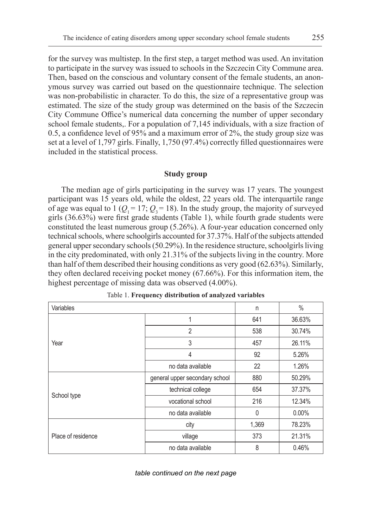for the survey was multistep. In the first step, a target method was used. An invitation to participate in the survey was issued to schools in the Szczecin City Commune area. Then, based on the conscious and voluntary consent of the female students, an anonymous survey was carried out based on the questionnaire technique. The selection was non-probabilistic in character. To do this, the size of a representative group was estimated. The size of the study group was determined on the basis of the Szczecin City Commune Office's numerical data concerning the number of upper secondary school female students,. For a population of 7,145 individuals, with a size fraction of 0.5, a confidence level of 95% and a maximum error of 2%, the study group size was set at a level of 1,797 girls. Finally, 1,750 (97.4%) correctly filled questionnaires were included in the statistical process.

#### **Study group**

The median age of girls participating in the survey was 17 years. The youngest participant was 15 years old, while the oldest, 22 years old. The interquartile range of age was equal to 1 ( $Q_1 = 17$ ;  $Q_2 = 18$ ). In the study group, the majority of surveyed girls (36.63%) were first grade students (Table 1), while fourth grade students were constituted the least numerous group (5.26%). A four-year education concerned only technical schools, where schoolgirls accounted for 37.37%. Half of the subjects attended general upper secondary schools (50.29%). In the residence structure, schoolgirls living in the city predominated, with only 21.31% of the subjects living in the country. More than half of them described their housing conditions as very good (62.63%). Similarly, they often declared receiving pocket money (67.66%). For this information item, the highest percentage of missing data was observed (4.00%).

| Variables          | n                              | $\%$         |          |
|--------------------|--------------------------------|--------------|----------|
|                    | 1                              | 641          | 36.63%   |
|                    | $\overline{2}$                 | 538          | 30.74%   |
| Year               | 3                              | 457          | 26.11%   |
|                    | $\overline{4}$                 | 92           | 5.26%    |
|                    | no data available              | 22           | 1.26%    |
|                    | general upper secondary school | 880          | 50.29%   |
|                    | technical college              | 654          | 37.37%   |
| School type        | vocational school              | 216          | 12.34%   |
|                    | no data available              | $\mathbf{0}$ | $0.00\%$ |
|                    | city                           | 1,369        | 78.23%   |
| Place of residence | village                        | 373          | 21.31%   |
|                    | no data available              | 8            | 0.46%    |

Table 1. **Frequency distribution of analyzed variables**

*table continued on the next page*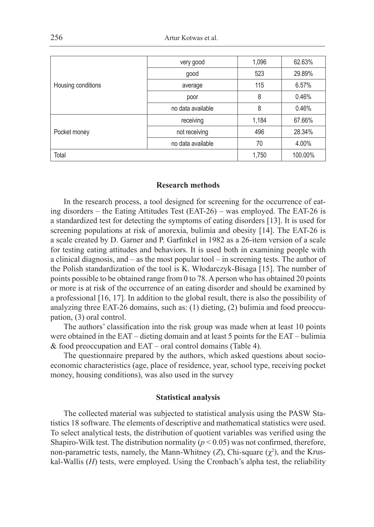| Housing conditions | very good         | 1,096 | 62.63%  |
|--------------------|-------------------|-------|---------|
|                    | good              | 523   | 29.89%  |
|                    | average           | 115   | 6.57%   |
|                    | poor              | 8     | 0.46%   |
|                    | no data available | 8     | 0.46%   |
| Pocket money       | receiving         | 1,184 | 67.66%  |
|                    | not receiving     | 496   | 28.34%  |
|                    | no data available | 70    | 4.00%   |
| Total              |                   | 1,750 | 100.00% |

#### **Research methods**

In the research process, a tool designed for screening for the occurrence of eating disorders – the Eating Attitudes Test (EAT-26) – was employed. The EAT-26 is a standardized test for detecting the symptoms of eating disorders [13]. It is used for screening populations at risk of anorexia, bulimia and obesity [14]. The EAT-26 is a scale created by D. Garner and P. Garfinkel in 1982 as a 26-item version of a scale for testing eating attitudes and behaviors. It is used both in examining people with a clinical diagnosis, and – as the most popular tool – in screening tests. The author of the Polish standardization of the tool is K. Włodarczyk-Bisaga [15]. The number of points possible to be obtained range from 0 to 78. A person who has obtained 20 points or more is at risk of the occurrence of an eating disorder and should be examined by a professional [16, 17]. In addition to the global result, there is also the possibility of analyzing three EAT-26 domains, such as: (1) dieting, (2) bulimia and food preoccupation, (3) oral control.

The authors' classification into the risk group was made when at least 10 points were obtained in the EAT – dieting domain and at least 5 points for the EAT – bulimia & food preoccupation and EAT – oral control domains (Table 4).

The questionnaire prepared by the authors, which asked questions about socioeconomic characteristics (age, place of residence, year, school type, receiving pocket money, housing conditions), was also used in the survey

#### **Statistical analysis**

The collected material was subjected to statistical analysis using the PASW Statistics 18 software. The elements of descriptive and mathematical statistics were used. To select analytical tests, the distribution of quotient variables was verified using the Shapiro-Wilk test. The distribution normality ( $p < 0.05$ ) was not confirmed, therefore, non-parametric tests, namely, the Mann-Whitney  $(Z)$ , Chi-square  $(\chi^2)$ , and the Kruskal-Wallis (*H*) tests, were employed. Using the Cronbach's alpha test, the reliability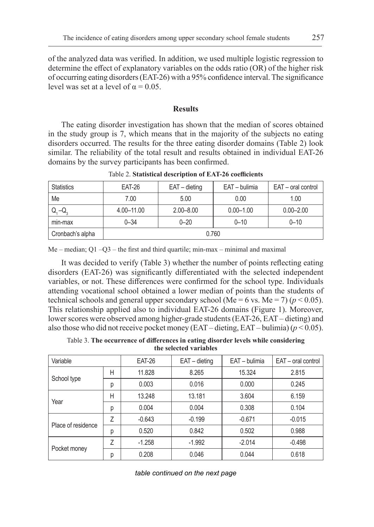of the analyzed data was verified. In addition, we used multiple logistic regression to determine the effect of explanatory variables on the odds ratio (OR) of the higher risk of occurring eating disorders (EAT-26) with a 95% confidence interval. The significance level was set at a level of  $\alpha = 0.05$ .

### **Results**

The eating disorder investigation has shown that the median of scores obtained in the study group is 7, which means that in the majority of the subjects no eating disorders occurred. The results for the three eating disorder domains (Table 2) look similar. The reliability of the total result and results obtained in individual EAT-26 domains by the survey participants has been confirmed.

| <b>Statistics</b>                          | <b>EAT-26</b> | EAT - dieting | EAT - bulimia | EAT - oral control |  |  |  |
|--------------------------------------------|---------------|---------------|---------------|--------------------|--|--|--|
| Me                                         | 7.00          | 5.00          | 0.00          | 1.00               |  |  |  |
| $^{\prime}$ Q <sub>1</sub> -Q <sub>2</sub> | 4.00-11.00    | $2.00 - 8.00$ | $0.00 - 1.00$ | $0.00 - 2.00$      |  |  |  |
| min-max                                    | $0 - 34$      | $0 - 20$      | $0 - 10$      | $0 - 10$           |  |  |  |
| Cronbach's alpha                           | 0.760         |               |               |                    |  |  |  |

Table 2. **Statistical description of EAT-26 coefficients**

Me – median;  $Q1 - Q3$  – the first and third quartile; min-max – minimal and maximal

It was decided to verify (Table 3) whether the number of points reflecting eating disorders (EAT-26) was significantly differentiated with the selected independent variables, or not. These differences were confirmed for the school type. Individuals attending vocational school obtained a lower median of points than the students of technical schools and general upper secondary school (Me = 6 vs. Me = 7) ( $p < 0.05$ ). This relationship applied also to individual EAT-26 domains (Figure 1). Moreover, lower scores were observed among higher-grade students (EAT-26, EAT – dieting) and also those who did not receive pocket money (EAT – dieting, EAT – bulimia) ( $p < 0.05$ ).

Table 3. **The occurrence of differences in eating disorder levels while considering the selected variables**

| Variable           |   | <b>EAT-26</b> | $EAT -$ dieting | EAT - bulimia | EAT - oral control |  |
|--------------------|---|---------------|-----------------|---------------|--------------------|--|
| School type        | Н | 11.828        | 8.265           | 15.324        | 2.815              |  |
|                    | р | 0.003         | 0.016           | 0.000         | 0.245              |  |
| Year               | Н | 13.248        | 13.181          | 3.604         | 6.159              |  |
|                    | р | 0.004         | 0.004           | 0.308         | 0.104              |  |
|                    | 7 | $-0.643$      | $-0.199$        | $-0.671$      | $-0.015$           |  |
| Place of residence | р | 0.520         | 0.842           | 0.502         | 0.988              |  |
| Pocket money       | 7 | $-1.258$      | $-1.992$        | $-2.014$      | $-0.498$           |  |
|                    | р | 0.208         | 0.046           | 0.044         | 0.618              |  |

*table continued on the next page*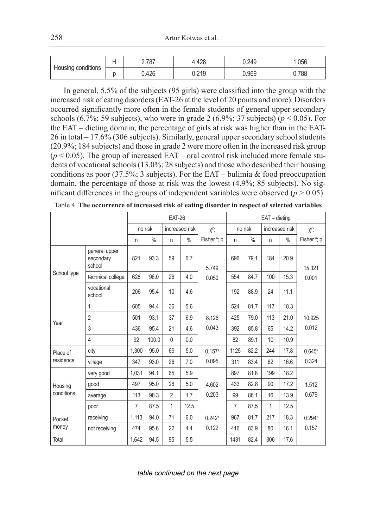| Housing conditions | . . | 2.787 | 4.428 | 0.249 | .056  |
|--------------------|-----|-------|-------|-------|-------|
|                    |     | J.426 | 0.219 | 0.969 | 0.788 |

In general, 5.5% of the subjects (95 girls) were classified into the group with the increased risk of eating disorders (EAT-26 at the level of 20 points and more). Disorders occurred significantly more often in the female students of general upper secondary schools  $(6.7\%; 59 \text{ subjects})$ , who were in grade 2  $(6.9\%; 37 \text{ subjects})$  ( $p < 0.05$ ). For the EAT – dieting domain, the percentage of girls at risk was higher than in the EAT-26 in total – 17.6% (306 subjects). Similarly, general upper secondary school students (20.9%; 184 subjects) and those in grade 2 were more often in the increased risk group  $(p < 0.05)$ . The group of increased EAT – oral control risk included more female students of vocational schools (13.0%; 28 subjects) and those who described their housing conditions as poor (37.5%; 3 subjects). For the EAT – bulimia & food preoccupation domain, the percentage of those at risk was the lowest (4.9%; 85 subjects). No significant differences in the groups of independent variables were observed  $(p > 0.05)$ .

|             |                                      | <b>EAT-26</b>             |               |                |               |                         | $EAT -$ dieting |               |              |               |                         |
|-------------|--------------------------------------|---------------------------|---------------|----------------|---------------|-------------------------|-----------------|---------------|--------------|---------------|-------------------------|
|             |                                      | no risk<br>increased risk |               | $X^2$ ;        | no risk       |                         | increased risk  |               | $X^2$ ;      |               |                         |
|             |                                      | n                         | $\frac{0}{0}$ | n              | $\frac{0}{0}$ | Fisher <sup>a</sup> ; p | n               | $\frac{0}{0}$ | n            | $\frac{0}{0}$ | Fisher <sup>a</sup> ; p |
|             | general upper<br>secondary<br>school | 821                       | 93.3          | 59             | 6.7           | 5.749                   | 696             | 79.1          | 184          | 20.9          | 15.321                  |
| School type | technical college                    | 628                       | 96.0          | 26             | 4.0           | 0.050                   | 554             | 84.7          | 100          | 15.3          | 0.001                   |
|             | vocational<br>school                 | 206                       | 95.4          | 10             | 4.6           |                         | 192             | 88.9          | 24           | 11.1          |                         |
|             | 1                                    | 605                       | 94.4          | 36             | 5.6           |                         | 524             | 81.7          | 117          | 18.3          |                         |
| Year        | $\overline{2}$                       | 501                       | 93.1          | 37             | 6.9           | 8.126                   | 425             | 79.0          | 113          | 21.0          | 10.925                  |
|             | 3                                    | 436                       | 95.4          | 21             | 4.6           | 0.043                   | 392             | 85.8          | 65           | 14.2          | 0.012                   |
|             | $\overline{4}$                       | 92                        | 100.0         | 0              | 0.0           |                         | 82              | 89.1          | 10           | 10.9          |                         |
| Place of    | city                                 | 1.300                     | 95.0          | 69             | 5.0           | 0.157a                  | 1125            | 82.2          | 244          | 17.8          | $0.645^{\circ}$         |
| residence   | village                              | 347                       | 93.0          | 26             | 7.0           | 0.095                   | 311             | 83.4          | 62           | 16.6          | 0.324                   |
|             | very good                            | 1,031                     | 94.1          | 65             | 5.9           |                         | 897             | 81.8          | 199          | 18.2          |                         |
| Housing     | good                                 | 497                       | 95.0          | 26             | 5.0           | 4.602                   | 433             | 82.8          | 90           | 17.2          | 1.512                   |
| conditions  | average                              | 113                       | 98.3          | $\overline{2}$ | 1.7           | 0.203                   | 99              | 86.1          | 16           | 13.9          | 0.679                   |
|             | poor                                 | $\overline{7}$            | 87.5          | 1              | 12.5          |                         | 7               | 87.5          | $\mathbf{1}$ | 12.5          |                         |
| Pocket      | receiving                            | 1,113                     | 94.0          | 71             | 6.0           | 0.242a                  | 967             | 81.7          | 217          | 18.3          | $0.294$ <sup>a</sup>    |
| money       | not receiving                        | 474                       | 95.6          | 22             | 4.4           | 0.122                   | 416             | 83.9          | 80           | 16.1          | 0.157                   |
| Total       |                                      | 1,642                     | 94.5          | 95             | 5.5           |                         | 1431            | 82.4          | 306          | 17.6          |                         |

*table continued on the next page*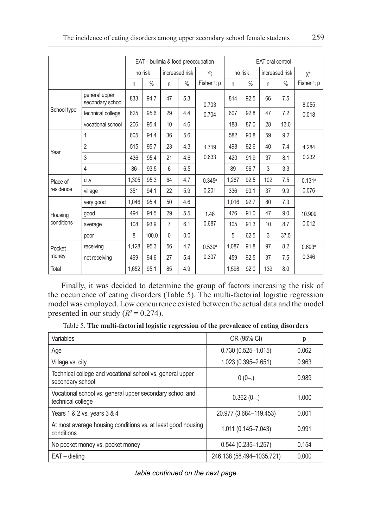|             |                                   |                           |       |                |         | EAT - bulimia & food preoccupation |                |               | <b>EAT</b> oral control |      |                         |
|-------------|-----------------------------------|---------------------------|-------|----------------|---------|------------------------------------|----------------|---------------|-------------------------|------|-------------------------|
|             |                                   | increased risk<br>no risk |       | $x^2$          | no risk |                                    | increased risk |               | $X^2$ ;                 |      |                         |
|             |                                   | n                         | $\%$  | n              | $\%$    | Fisher <sup>a</sup> ; p            | n              | $\frac{0}{0}$ | n                       | $\%$ | Fisher <sup>a</sup> ; p |
|             | general upper<br>secondary school | 833                       | 94.7  | 47             | 5.3     | 0.703                              | 814            | 92.5          | 66                      | 7.5  | 8.055                   |
| School type | technical college                 | 625                       | 95.6  | 29             | 4.4     | 0.704                              | 607            | 92.8          | 47                      | 7.2  | 0.018                   |
|             | vocational school                 | 206                       | 95.4  | 10             | 4.6     |                                    | 188            | 87.0          | 28                      | 13.0 |                         |
|             | 1                                 | 605                       | 94.4  | 36             | 5.6     |                                    | 582            | 90.8          | 59                      | 9.2  |                         |
|             | 2                                 | 515                       | 95.7  | 23             | 4.3     | 1.719                              | 498            | 92.6          | 40                      | 7.4  | 4.284                   |
| Year        | 3                                 | 436                       | 95.4  | 21             | 4.6     | 0.633                              | 420            | 91.9          | 37                      | 8.1  | 0.232                   |
|             | 4                                 | 86                        | 93.5  | 6              | 6.5     |                                    | 89             | 96.7          | 3                       | 3.3  |                         |
| Place of    | city                              | 1,305                     | 95.3  | 64             | 4.7     | $0.345^{\circ}$                    | 1,267          | 92.5          | 102                     | 7.5  | 0.131a                  |
| residence   | village                           | 351                       | 94.1  | 22             | 5.9     | 0.201                              | 336            | 90.1          | 37                      | 9.9  | 0.076                   |
|             | very good                         | 1,046                     | 95.4  | 50             | 4.6     |                                    | 1,016          | 92.7          | 80                      | 7.3  |                         |
| Housing     | good                              | 494                       | 94.5  | 29             | 5.5     | 1.48                               | 476            | 91.0          | 47                      | 9.0  | 10.909                  |
| conditions  | average                           | 108                       | 93.9  | $\overline{7}$ | 6.1     | 0.687                              | 105            | 91.3          | 10                      | 8.7  | 0.012                   |
|             | poor                              | 8                         | 100.0 | $\mathbf{0}$   | 0.0     |                                    | 5              | 62.5          | 3                       | 37.5 |                         |
| Pocket      | receiving                         | 1,128                     | 95.3  | 56             | 4.7     | 0.539a                             | 1.087          | 91.8          | 97                      | 8.2  | 0.693a                  |
| money       | not receiving                     | 469                       | 94.6  | 27             | 5.4     | 0.307                              | 459            | 92.5          | 37                      | 7.5  | 0.346                   |
| Total       |                                   | 1,652                     | 95.1  | 85             | 4.9     |                                    | 1,598          | 92.0          | 139                     | 8.0  |                         |

Finally, it was decided to determine the group of factors increasing the risk of the occurrence of eating disorders (Table 5). The multi-factorial logistic regression model was employed. Low concurrence existed between the actual data and the model presented in our study  $(R^2 = 0.274)$ .

Table 5. **The multi-factorial logistic regression of the prevalence of eating disorders**

| Variables                                                                     | OR (95% CI)               | р     |
|-------------------------------------------------------------------------------|---------------------------|-------|
| Age                                                                           | $0.730(0.525 - 1.015)$    | 0.062 |
| Village vs. city                                                              | 1.023 (0.395-2.651)       | 0.963 |
| Technical college and vocational school vs. general upper<br>secondary school | $0(0-.)$                  | 0.989 |
| Vocational school vs. general upper secondary school and<br>technical college | $0.362(0-.)$              | 1.000 |
| Years 1 & 2 vs. years 3 & 4                                                   | 20.977 (3.684-119.453)    | 0.001 |
| At most average housing conditions vs. at least good housing<br>conditions    | 1.011 (0.145-7.043)       | 0.991 |
| No pocket money vs. pocket money                                              | $0.544(0.235 - 1.257)$    | 0.154 |
| $EAT -$ dieting                                                               | 246.138 (58.494-1035.721) | 0.000 |

*table continued on the next page*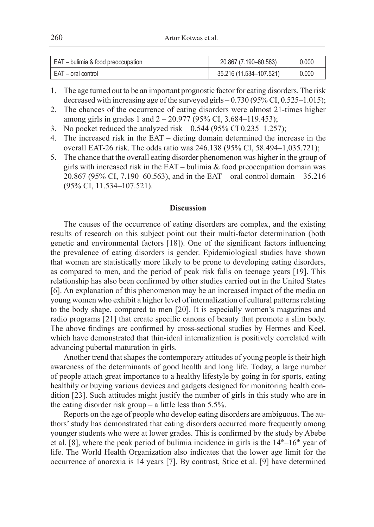| EAT - bulimia & food preoccupation | 20.867 (7.190-60.563)   | 0.000 |
|------------------------------------|-------------------------|-------|
| ∣ EAT – oral control               | 35.216 (11.534-107.521) | 0.000 |

1. The age turned out to be an important prognostic factor for eating disorders. The risk decreased with increasing age of the surveyed girls – 0.730 (95% CI, 0.525–1.015);

- 2. The chances of the occurrence of eating disorders were almost 21-times higher among girls in grades 1 and  $2 - 20.977$  (95% CI, 3.684–119.453);
- 3. No pocket reduced the analyzed risk  $-0.544$  (95% CI 0.235–1.257);
- 4. The increased risk in the EAT dieting domain determined the increase in the overall EAT-26 risk. The odds ratio was 246.138 (95% CI, 58.494–1,035.721);
- 5. The chance that the overall eating disorder phenomenon was higher in the group of girls with increased risk in the EAT – bulimia  $&$  food preoccupation domain was 20.867 (95% CI, 7.190–60.563), and in the EAT – oral control domain – 35.216 (95% CI, 11.534–107.521).

#### **Discussion**

The causes of the occurrence of eating disorders are complex, and the existing results of research on this subject point out their multi-factor determination (both genetic and environmental factors [18]). One of the significant factors influencing the prevalence of eating disorders is gender. Epidemiological studies have shown that women are statistically more likely to be prone to developing eating disorders, as compared to men, and the period of peak risk falls on teenage years [19]. This relationship has also been confirmed by other studies carried out in the United States [6]. An explanation of this phenomenon may be an increased impact of the media on young women who exhibit a higher level of internalization of cultural patterns relating to the body shape, compared to men [20]. It is especially women's magazines and radio programs [21] that create specific canons of beauty that promote a slim body. The above findings are confirmed by cross-sectional studies by Hermes and Keel, which have demonstrated that thin-ideal internalization is positively correlated with advancing pubertal maturation in girls.

Another trend that shapes the contemporary attitudes of young people is their high awareness of the determinants of good health and long life. Today, a large number of people attach great importance to a healthy lifestyle by going in for sports, eating healthily or buying various devices and gadgets designed for monitoring health condition [23]. Such attitudes might justify the number of girls in this study who are in the eating disorder risk group – a little less than 5.5%.

Reports on the age of people who develop eating disorders are ambiguous. The authors' study has demonstrated that eating disorders occurred more frequently among younger students who were at lower grades. This is confirmed by the study by Abebe et al. [8], where the peak period of bulimia incidence in girls is the  $14<sup>th</sup>-16<sup>th</sup>$  year of life. The World Health Organization also indicates that the lower age limit for the occurrence of anorexia is 14 years [7]. By contrast, Stice et al. [9] have determined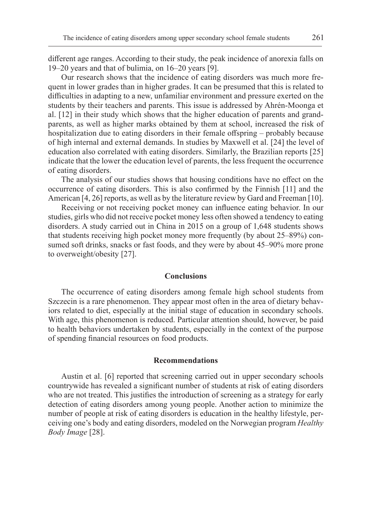different age ranges. According to their study, the peak incidence of anorexia falls on 19–20 years and that of bulimia, on 16–20 years [9].

Our research shows that the incidence of eating disorders was much more frequent in lower grades than in higher grades. It can be presumed that this is related to difficulties in adapting to a new, unfamiliar environment and pressure exerted on the students by their teachers and parents. This issue is addressed by Ahrén-Moonga et al. [12] in their study which shows that the higher education of parents and grandparents, as well as higher marks obtained by them at school, increased the risk of hospitalization due to eating disorders in their female offspring – probably because of high internal and external demands. In studies by Maxwell et al. [24] the level of education also correlated with eating disorders. Similarly, the Brazilian reports [25] indicate that the lower the education level of parents, the less frequent the occurrence of eating disorders.

The analysis of our studies shows that housing conditions have no effect on the occurrence of eating disorders. This is also confirmed by the Finnish [11] and the American [4, 26] reports, as well as by the literature review by Gard and Freeman [10].

Receiving or not receiving pocket money can influence eating behavior. In our studies, girls who did not receive pocket money less often showed a tendency to eating disorders. A study carried out in China in 2015 on a group of 1,648 students shows that students receiving high pocket money more frequently (by about 25–89%) consumed soft drinks, snacks or fast foods, and they were by about 45–90% more prone to overweight/obesity [27].

#### **Conclusions**

The occurrence of eating disorders among female high school students from Szczecin is a rare phenomenon. They appear most often in the area of dietary behaviors related to diet, especially at the initial stage of education in secondary schools. With age, this phenomenon is reduced. Particular attention should, however, be paid to health behaviors undertaken by students, especially in the context of the purpose of spending financial resources on food products.

#### **Recommendations**

Austin et al. [6] reported that screening carried out in upper secondary schools countrywide has revealed a significant number of students at risk of eating disorders who are not treated. This justifies the introduction of screening as a strategy for early detection of eating disorders among young people. Another action to minimize the number of people at risk of eating disorders is education in the healthy lifestyle, perceiving one's body and eating disorders, modeled on the Norwegian program *Healthy Body Image* [28].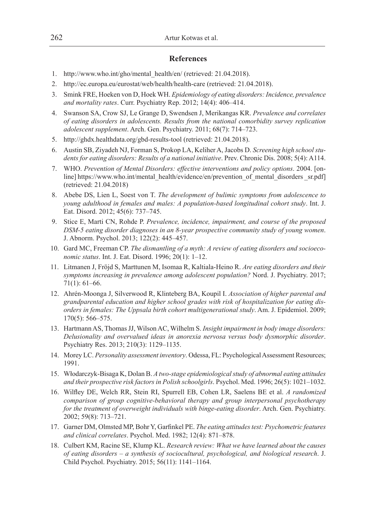# **References**

- 1. http://www.who.int/gho/mental\_health/en/ (retrieved: 21.04.2018).
- 2. http://ec.europa.eu/eurostat/web/health/health-care (retrieved: 21.04.2018).
- 3. Smink FRE, Hoeken von D, Hoek WH. *Epidemiology of eating disorders: Incidence, prevalence and mortality rates*. Curr. Psychiatry Rep. 2012; 14(4): 406–414.
- 4. Swanson SA, Crow SJ, Le Grange D, Swendsen J, Merikangas KR. *Prevalence and correlates of eating disorders in adolescents. Results from the national comorbidity survey replication adolescent supplement*. Arch. Gen. Psychiatry. 2011; 68(7): 714–723.
- 5. http://ghdx.healthdata.org/gbd-results-tool (retrieved: 21.04.2018).
- 6. Austin SB, Ziyadeh NJ, Forman S, Prokop LA, Keliher A, Jacobs D. *Screening high school students for eating disorders: Results of a national initiative*. Prev. Chronic Dis. 2008; 5(4): A114.
- 7. WHO. *Prevention of Mental Disorders: effective interventions and policy options*. 2004. [online] https://www.who.int/mental\_health/evidence/en/prevention\_of\_mental\_disorders \_sr.pdf] (retrieved: 21.04.2018)
- 8. Abebe DS, Lien L, Soest von T. *The development of bulimic symptoms from adolescence to young adulthood in females and males: A population-based longitudinal cohort study*. Int. J. Eat. Disord. 2012; 45(6): 737–745.
- 9. Stice E, Marti CN, Rohde P. *Prevalence, incidence, impairment, and course of the proposed DSM-5 eating disorder diagnoses in an 8-year prospective community study of young women*. J. Abnorm. Psychol. 2013; 122(2): 445–457.
- 10. Gard MC, Freeman CP. *The dismantling of a myth: A review of eating disorders and socioeconomic status*. Int. J. Eat. Disord. 1996; 20(1): 1–12.
- 11. Litmanen J, Fröjd S, Marttunen M, Isomaa R, Kaltiala-Heino R. *Are eating disorders and their symptoms increasing in prevalence among adolescent population?* Nord. J. Psychiatry. 2017; 71(1): 61–66.
- 12. Ahrén-Moonga J, Silverwood R, Klinteberg BA, Koupil I. *Association of higher parental and grandparental education and higher school grades with risk of hospitalization for eating disorders in females: The Uppsala birth cohort multigenerational study*. Am. J. Epidemiol. 2009; 170(5): 566–575.
- 13. Hartmann AS, Thomas JJ, Wilson AC, Wilhelm S. *Insight impairment in body image disorders: Delusionality and overvalued ideas in anorexia nervosa versus body dysmorphic disorder*. Psychiatry Res. 2013; 210(3): 1129–1135.
- 14. Morey LC. *Personality assessment inventory*. Odessa, FL: Psychological Assessment Resources; 1991.
- 15. Włodarczyk-Bisaga K, Dolan B. *A two-stage epidemiological study of abnormal eating attitudes and their prospective risk factors in Polish schoolgirls*. Psychol. Med. 1996; 26(5): 1021–1032.
- 16. Wilfley DE, Welch RR, Stein RI, Spurrell EB, Cohen LR, Saelens BE et al. *A randomized comparison of group cognitive-behavioral therapy and group interpersonal psychotherapy for the treatment of overweight individuals with binge-eating disorder*. Arch. Gen. Psychiatry. 2002; 59(8): 713–721.
- 17. Garner DM, Olmsted MP, Bohr Y, Garfinkel PE. *The eating attitudes test: Psychometric features and clinical correlates*. Psychol. Med. 1982; 12(4): 871–878.
- 18. Culbert KM, Racine SE, Klump KL. *Research review: What we have learned about the causes of eating disorders – a synthesis of sociocultural, psychological, and biological research*. J. Child Psychol. Psychiatry. 2015; 56(11): 1141–1164.